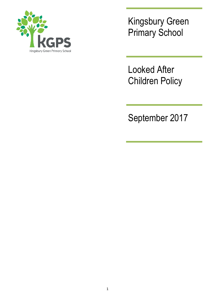

Kingsbury Green Primary School

Looked After Children Policy

September 2017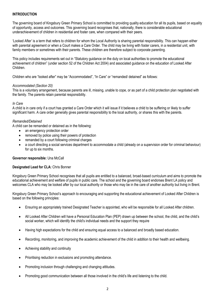## **INTRODUCTION**

The governing board of Kingsbury Green Primary School is committed to providing quality education for all its pupils, based on equality of opportunity, access and outcomes. This governing board recognises that, nationally, there is considerable educational underachievement of children in residential and foster care, when compared with their peers.

'Looked After' is a term that refers to children for whom the Local Authority is sharing parental responsibility. This can happen either with parental agreement or when a Court makes a Care Order. The child may be living with foster carers, in a residential unit, with family members or sometimes with their parents. These children are therefore subject to corporate parenting.

This policy includes requirements set out in "Statutory guidance on the duty on local authorities to promote the educational achievement of children" (under section 52 of the Children Act 2004) and associated guidance on the education of Looked After Children.

Children who are "looked after" may be "Accommodated", "In Care" or "remanded/ detained" as follows:

### *Accommodated (Section 20)*

This is a voluntary arrangement, because parents are ill, missing, unable to cope, or as part of a child protection plan negotiated with the family. The parents retain parental responsibility.

### *In Care*

A child is in care only if a court has granted a Care Order which it will issue if it believes a child to be suffering or likely to suffer significant harm. A care order generally gives parental responsibility to the local authority, or shares this with the parents.

### *Remanded/Detained*

A child can be remanded or detained as in the following:

- an emergency protection order
- removed by police using their powers of protection
- remanded by a court following criminal charges
- a court directing a social services department to accommodate a child (already on a supervision order for criminal behaviour) for up to six months.

### **Governor responsible:** Una McCall

### **Designated Lead for CLA:** Chris Bonner

Kingsbury Green Primary School recognises that all pupils are entitled to a balanced, broad-based curriculum and aims to promote the educational achievement and welfare of pupils in public care. The school and the governing board endorses Brent LA policy and welcomes CLA who may be looked after by our local authority or those who may be in the care of another authority but living in Brent.

Kingsbury Green Primary School's approach to encouraging and supporting the educational achievement of Looked After Children is based on the following principles:

- Ensuring an appropriately trained Designated Teacher is appointed, who will be responsible for all Looked After children.
- All Looked After Children will have a Personal Education Plan (PEP) drawn up between the school, the child, and the child's social worker, which will identify the child's individual needs and the support they require
- Having high expectations for the child and ensuring equal access to a balanced and broadly based education.
- Recording, monitoring, and improving the academic achievement of the child in addition to their health and wellbeing.
- Achieving stability and continuity
- Prioritising reduction in exclusions and promoting attendance.
- Promoting inclusion through challenging and changing attitudes.
- Promoting good communication between all those involved in the child's life and listening to the child.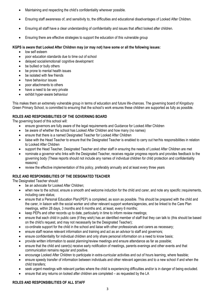- Maintaining and respecting the child's confidentiality wherever possible.
- Ensuring staff awareness of, and sensitivity to, the difficulties and educational disadvantages of Looked After Children.
- Ensuring all staff have a clear understanding of confidentiality and issues that affect looked after children.
- Ensuring there are effective strategies to support the education of this vulnerable group

### **KGPS is aware that Looked After Children may (or may not) have some or all the following issues:**

- low self esteem
- poor education standards due to time out of school
- delayed social/emotional/ cognitive development
- be bullied or bully others
- be prone to mental health issues
- be isolated with few friends
- have behaviour issues
- poor attachments to others
- have a need to be very private
- exhibit hyper-aware behaviour

This makes them an extremely vulnerable group in terms of education and future life-chances. The governing board of Kingsbury Green Primary School, is committed to ensuring that the school's work ensures these children are supported as fully as possible.

# **ROLES AND RESPONSIBILITIES OF THE GOVERNING BOARD**

The governing board of this school will:

- ensure governors are fully aware of the legal requirements and Guidance for Looked After Children
- be aware of whether the school has Looked After Children and how many (no names)
- ensure that there is a named Designated Teacher for Looked After Children
- liaise with the Head Teacher to ensure that the Designated Teacher is enabled to carry out her/his responsibilities in relation to Looked After Children
- support the Head Teacher, Designated Teacher and other staff in ensuring the needs of Looked After Children are met
- nominate a governor who links with the Designated Teacher, receives regular progress reports and provides feedback to the governing body (These reports should not include any names of individual children for child protection and confidentiality reasons)
- review the effective implementation of this policy, preferably annually and at least every three years

# **ROLE AND RESPONSIBILITIES OF THE DESIGNATED TEACHER**

The Designated Teacher should:

- be an advocate for Looked After Children;
- when new to the school, ensure a smooth and welcome induction for the child and carer, and note any specific lrequirements, including care status;
- ensure that a Personal Education Plan(PEP) is completed, as soon as possible. This should be prepared with the child and the carer, in liaison with the social worker and other relevant support workers/agencies, and be linked to the Care Plan meetings, within 28 days, 3 months and 6 months and, at least, every 6 months;
- keep PEPs and other records up to date, particularly in time to inform review meetings;
- ensure that each child in public care (if they wish) has an identified member of staff that they can talk to (this should be based on the child's request, and may not necessarily be the Designated Teacher);
- co-ordinate support for the child in the school and liaise with other professionals and carers as necessary;
- ensure staff receive relevant information and training and act as an advisor to staff and governors;
- ensure confidentiality for individual children and only share personal information on a need to know basis;
- provide written information to assist planning/review meetings and ensure attendance as far as possible;
- ensure that the child and carer(s) receive early notification of meetings, parents evenings and other events and that communication remains regular and positive.
- encourage Looked After Children to participate in extra-curricular activities and out of hours learning, where feasible;
- ensure speedy transfer of information between individuals and other relevant agencies and to a new school if and when the child transfers;
- seek urgent meetings with relevant parties where the child is experiencing difficulties and/or is in danger of being excluded.
- ensure that any returns on looked after children are completed as requested by the LA

# **ROLES AND RESPONSIBILITIES OF ALL STAFF**